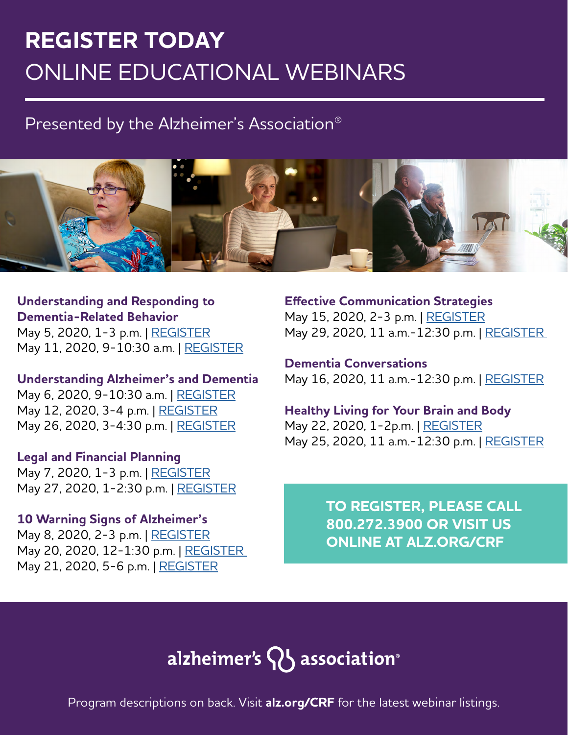# **REGISTER TODAY** ONLINE EDUCATIONAL WEBINARS

## Presented by the Alzheimer's Association®



**Understanding and Responding to Dementia-Related Behavior** May 5, 2020, 1-3 p.m. | [REGISTER](https://action.alz.org/PersonifyEbusiness/Default.aspx?TabID=1356&productId=47818045) May 11, 2020, 9-10:30 a.m. | [REGISTER](https://action.alz.org/PersonifyEbusiness/Events/alz/MeetingRegistration.aspx?productId=69989952)

#### **Understanding Alzheimer's and Dementia**

May 6, 2020, 9-10:30 a.m. | [REGISTER](https://action.alz.org/PersonifyEbusiness/Events/alz/MeetingRegistration.aspx?productId=69989782) May 12, 2020, 3-4 p.m. | [REGISTER](https://action.alz.org/PersonifyEbusiness/Events/alz/MeetingRegistration.aspx?productId=69780874) May 26, 2020, 3-4:30 p.m. | [REGISTER](https://action.alz.org/PersonifyEbusiness/Events/alz/MeetingRegistration.aspx?productId=69996447)

#### **Legal and Financial Planning**

May 7, 2020, 1-3 p.m. | [REGISTER](https://action.alz.org/PersonifyEbusiness/Events/alz/MeetingRegistration.aspx?productId=69989875) May 27, 2020, 1-2:30 p.m. | [REGISTER](https://action.alz.org/PersonifyEbusiness/Events/alz/MeetingRegistration.aspx?productId=69997244)

### **10 Warning Signs of Alzheimer's**

May 8, 2020, 2-3 p.m. | [REGISTER](https://action.alz.org/PersonifyEbusiness/Events/alz/MeetingRegistration.aspx?productId=69779001) May 20, 2020, 12-1:30 p.m. | [REGISTER](https://action.alz.org/PersonifyEbusiness/Events/alz/MeetingRegistration.aspx?productId=58862744)  May 21, 2020, 5-6 p.m. | [REGISTER](https://action.alz.org/PersonifyEbusiness/Events/alz/MeetingRegistration.aspx?productId=69779456)

**Effective Communication Strategies** May 15, 2020, 2-3 p.m. | [REGISTER](https://action.alz.org/PersonifyEbusiness/Events/alz/MeetingRegistration.aspx?productId=69716680) May 29, 2020, 11 a.m.-12:30 p.m. | [REGISTER](https://action.alz.org/PersonifyEbusiness/Events/alz/MeetingRegistration.aspx?productId=69997785) 

**Dementia Conversations** May 16, 2020, 11 a.m.-12:30 p.m. | [REGISTER](https://action.alz.org/PersonifyEbusiness/Events/alz/MeetingRegistration.aspx?productId=48073487)

**Healthy Living for Your Brain and Body** May 22, 2020, 1-2p.m. | [REGISTER](https://action.alz.org/PersonifyEbusiness/Events/alz/MeetingRegistration.aspx?productId=69773505) May 25, 2020, 11 a.m.-12:30 p.m. | [REGISTER](https://action.alz.org/PersonifyEbusiness/Events/alz/MeetingRegistration.aspx?productId=69996769)

> **TO REGISTER, PLEASE CALL 800.272.3900 OR VISIT US ONLINE AT ALZ.ORG/CRF**

# alzheimer's  $\mathsf{Q}$  association®

Program descriptions on back. Visit **alz.org/CRF** for the latest webinar listings.